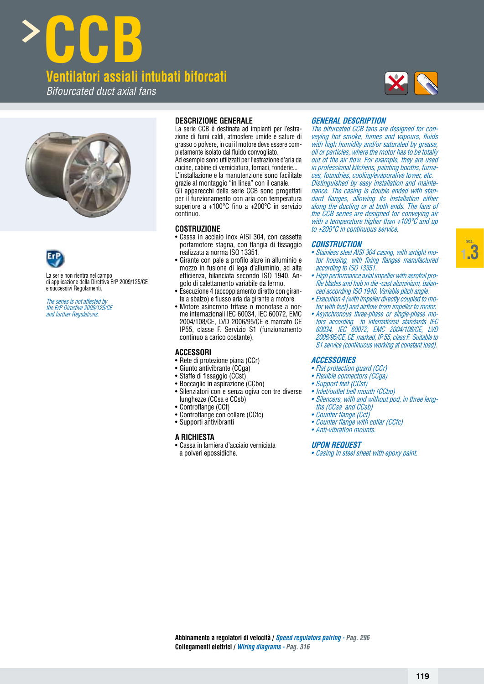**sez. 1.3**









La serie non rientra nel campo di applicazione della Direttiva ErP 2009/125/CE e successivi Regolamenti.

The series is not affected by the ErP Directive 2009/125/CE and further Regulations.

# **DESCRIZIONE GENERALE**

La serie CCB è destinata ad impianti per l'estrazione di fumi caldi, atmosfere umide e sature di grasso o polvere, in cui il motore deve essere completamente isolato dal fluido convogliato. Ad esempio sono utilizzati per l'estrazione d'aria da cucine, cabine di verniciatura, fornaci, fonderie... L'installazione e la manutenzione sono facilitate grazie al montaggio "in linea" con il canale. Gli apparecchi della serie CCB sono progettati per il funzionamento con aria con temperatura superiore a  $+100^{\circ}$ C fino a  $+200^{\circ}$ C in servizio continuo.

## **COSTRUZIONE**

- Cassa in acciaio inox AISI 304, con cassetta portamotore stagna, con flangia di fissaggio realizzata a norma ISO 13351.
- $\bullet$  Girante con pale a profilo alare in alluminio e mozzo in fusione di lega d'alluminio, ad alta efficienza, bilanciata secondo ISO 1940. Angolo di calettamento variabile da fermo.
- Esecuzione 4 (accoppiamento diretto con girante a sbalzo) e flusso aria da girante a motore.
- Motore asincrono trifase o monofase a norme internazionali IEC 60034, IEC 60072, EMC 2004/108/CE, LVD 2006/95/CE e marcato CE IP55, classe F. Servizio S1 (funzionamento continuo a carico costante).

## **ACCESSORI**

- Rete di protezione piana (CCr)
- Giunto antivibrante (CCga)
- Staffe di fissaggio (CCst)
- Boccaglio in aspirazione (CCbo)
- Silenziatori con e senza ogiva con tre diverse lunghezze (CCsa e CCsb)
- Controflange (CCf)
- Controflange con collare (CCfc)
- Supporti antivibranti

## **A RICHIESTA**

• Cassa in lamiera d'acciaio verniciata a polveri epossidiche.

## **GENERAL DESCRIPTION**

The bifurcated CCB fans are designed for conveying hot smoke, fumes and vapours, fluids with high humidity and/or saturated by grease, oil or particles, where the motor has to be totally out of the air flow. For example, they are used in professional kitchens, painting booths, furnaces, foundries, cooling/evaporative tower, etc. Distinguished by easy installation and maintenance. The casing is double ended with standard flanges, allowing its installation either along the ducting or at both ends. The fans of the CCB series are designed for conveying air with a temperature higher than +100°C and up to +200°C in continuous service.

#### **CONSTRUCTION**

- Stainless steel AISI 304 casing, with airtight motor housing, with fixing flanges manufactured according to ISO 13351.
- High performance axial impeller with aerofoil profile blades and hub in die -cast aluminium, balanced according ISO 1940. Variable pitch angle.
- Execution 4 (with impeller directly coupled to motor with feet) and airflow from impeller to motor.
- Asynchronous three-phase or single-phase motors according to international standards IEC 60034, IEC 60072, EMC 2004/108/CE, LVD 2006/95/CE, CE marked, IP 55, class F. Suitable to S1 service (continuous working at constant load).

#### **ACCESSORIES**

- Flat protection guard (CCr)
- Flexible connectors (CCga)
- Support feet (CCst)
- Inlet/outlet bell mouth (CCbo)
- Silencers, with and without pod, in three lengths (CCsa and CCsb)
- Counter flange (Ccf)
- Counter flange with collar (CCfc)
- Anti-vibration mounts.

#### **UPON REQUEST**

• Casing in steel sheet with epoxy paint.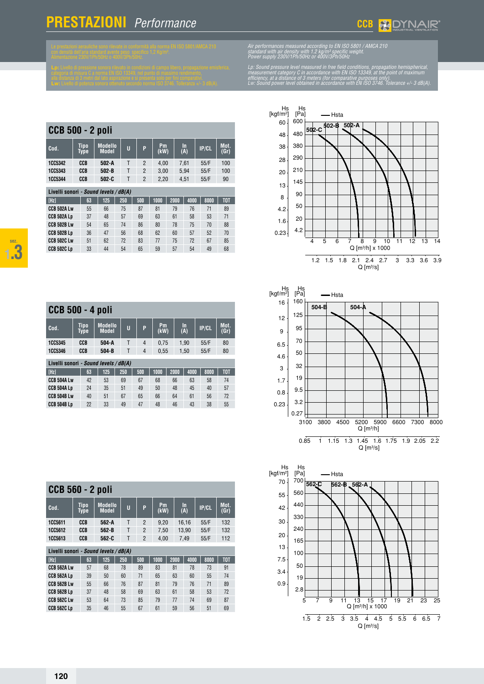| metri dal lato aspirazione e si presenta solo per fini comparativi.<br>tenza sonora ottenuto secondo norma ISO 3746. Tolleranza +/- 3 dB(A). | efficiency, a<br>Lw: Sound |
|----------------------------------------------------------------------------------------------------------------------------------------------|----------------------------|
|                                                                                                                                              |                            |
|                                                                                                                                              |                            |

|                | <b>CCB 500 - 2 poli</b>               |                                |   |                |                   |                  |       |              |  |  |  |  |  |  |
|----------------|---------------------------------------|--------------------------------|---|----------------|-------------------|------------------|-------|--------------|--|--|--|--|--|--|
| Cod.           | <b>Tipo</b><br><b>Type</b>            | <b>Modello</b><br><b>Model</b> | U | P              | <b>Pm</b><br>(kW) | <b>In</b><br>(A) | IP/CL | Mot.<br>(Gr) |  |  |  |  |  |  |
| <b>1CC5342</b> | CCB                                   | $502-A$                        |   | $\overline{2}$ | 4.00              | 7.61             | 55/F  | 100          |  |  |  |  |  |  |
| <b>1CC5343</b> | CCB                                   | $502 - B$                      |   | $\overline{2}$ | 3.00              | 5.94             | 55/F  | 100          |  |  |  |  |  |  |
| <b>1CC5344</b> | CCB                                   | $502 - C$                      | Τ | $\overline{2}$ | 2.20              | 4.51             | 55/F  | 90           |  |  |  |  |  |  |
|                | Livelli sonori - Sound levels / dB(A) |                                |   |                |                   |                  |       |              |  |  |  |  |  |  |

| LIVUIII JUIIUII    |    | <b><i><u><u>vouna</u></u></i></b> luvelo / upini |     |     |      |      |      |      |                  |
|--------------------|----|--------------------------------------------------|-----|-----|------|------|------|------|------------------|
| [Hz]               | 63 | 125                                              | 250 | 500 | 1000 | 2000 | 4000 | 8000 | T <sub>0</sub> T |
| CCB 502A Lw        | 55 | 66                                               | 75  | 87  | 81   | 79   | 76   | 71   | 89               |
| CCB 502A Lp        | 37 | 48                                               | 57  | 69  | 63   | 61   | 58   | 53   | 71               |
| <b>CCB 502B Lw</b> | 54 | 65                                               | 74  | 86  | 80   | 78   | 75   | 70   | 88               |
| <b>CCB 502B Lp</b> | 36 | 47                                               | 56  | 68  | 62   | 60   | 57   | 52   | 70               |
| <b>CCB 502C Lw</b> | 51 | 62                                               | 72  | 83  | 77   | 75   | 72   | 67   | 85               |
| <b>CCB 502C Lp</b> | 33 | 44                                               | 54  | 65  | 59   | 57   | 54   | 49   | 68               |
|                    |    |                                                  |     |     |      |      |      |      |                  |

| <b>CCB 500 - 4 poli</b>               |  |                     |                                |  |     |     |            |  |      |           |  |              |              |
|---------------------------------------|--|---------------------|--------------------------------|--|-----|-----|------------|--|------|-----------|--|--------------|--------------|
| Cod.                                  |  | <b>Tipo</b><br>Type | <b>Modello</b><br><b>Model</b> |  | Ū   | P   | Pm<br>(kW) |  |      | In<br>(A) |  | <b>IP/CL</b> | Mot.<br>(Gr) |
| <b>1CC5345</b>                        |  | CCB                 | $504-A$                        |  | т   | 4   | 0.75       |  |      | 1,90      |  | 55/F         | 80           |
| <b>1CC5346</b>                        |  | CCB                 | $504-B$                        |  | T   | 4   | 0.55       |  |      | 1.50      |  | 55/F         | 80           |
| Livelli sonori - Sound levels / dB(A) |  |                     |                                |  |     |     |            |  |      |           |  |              |              |
| [Hz]                                  |  | 63                  | 125                            |  | 250 | 500 | 1000       |  | 2000 | 4000      |  | 8000         | <b>TOT</b>   |
| CCB 504A Lw                           |  | 42                  | 53                             |  | 69  | 67  | 68         |  | 66   | 63        |  | 58           | 74           |
| CCB 504A LD                           |  | 24                  | 35                             |  | 51  | 49  | 50         |  | 48   | 45        |  | 40           | 57           |
| <b>CCB 504B Lw</b>                    |  | 40                  | 51                             |  | 67  | 65  | 66         |  | 64   | 61        |  | 56           | 72           |
| CCB 504B Lp                           |  | 22                  | 33                             |  | 49  | 47  | 48         |  | 46   | 43        |  | 38           | 55           |

| <b>CCB 560 - 2 poli</b> |                                              |                            |                                |  |     |                |  |            |  |      |           |  |              |              |  |
|-------------------------|----------------------------------------------|----------------------------|--------------------------------|--|-----|----------------|--|------------|--|------|-----------|--|--------------|--------------|--|
| Cod.                    |                                              | <b>Tipo</b><br><b>Type</b> | <b>Modello</b><br><b>Model</b> |  | Ū   | P              |  | Pm<br>(kW) |  |      | In<br>(A) |  | <b>IP/CL</b> | Mot.<br>(Gr) |  |
| <b>1CC5611</b>          |                                              | CCB                        | 562-A                          |  | Τ   | 2              |  | 9,20       |  |      | 16,16     |  | 55/F         | 132          |  |
| 1005612                 |                                              | CCB                        | $562 - B$                      |  | Τ   | $\overline{2}$ |  | 7.50       |  |      | 13.90     |  | 55/F         | 132          |  |
| 1005613                 |                                              | CCB                        | 562-C                          |  | Т   | $\mathfrak{p}$ |  | 4.00       |  |      | 7.49      |  | 55/F         | 112          |  |
|                         | Livelli sonori <i>- Sound levels / dB(A)</i> |                            |                                |  |     |                |  |            |  |      |           |  |              |              |  |
| [Hz]                    |                                              | 63                         | 125                            |  | 250 | 500            |  | 1000       |  | 2000 | 4000      |  | 8000         | TOT          |  |
| CCB 562A Lw             |                                              | 57                         | 68                             |  | 78  | 89             |  | 83         |  | 81   | 78        |  | 73           | 91           |  |
| CCB 562A LD             |                                              | 39                         | 50                             |  | 60  | 71             |  | 65         |  | 63   | 60        |  | 55           | 74           |  |
| CCB 562B Lw             |                                              | 55                         | 66                             |  | 76  | 87             |  | 81         |  | 79   | 76        |  | 71           | 89           |  |
| <b>CCB 562B Lp</b>      |                                              | 37                         | 48                             |  | 58  | 69             |  | 63         |  | 61   | 58        |  | 53           | 72           |  |
| <b>CCB 562C Lw</b>      |                                              | 53                         | 64                             |  | 73  | 85             |  | 79         |  | 77   | 74        |  | 69           | 87           |  |
| <b>CCB 562C Lp</b>      |                                              | 35                         | 46                             |  | 55  | 67             |  | 61         |  | 59   | 56        |  | 51           | 69           |  |



Lp: Sound pressure level measured in free field conditions, propagation hemispherical<br>measurement category C in accordance with EN ISO 13349, at the point of maximum efficiency, at a distance of 3 meters (for comparative purposes only).<br>Lw: Sound power level obtained in accordance with EN ISO 3746. Tolerance +/- 3 dB(A).





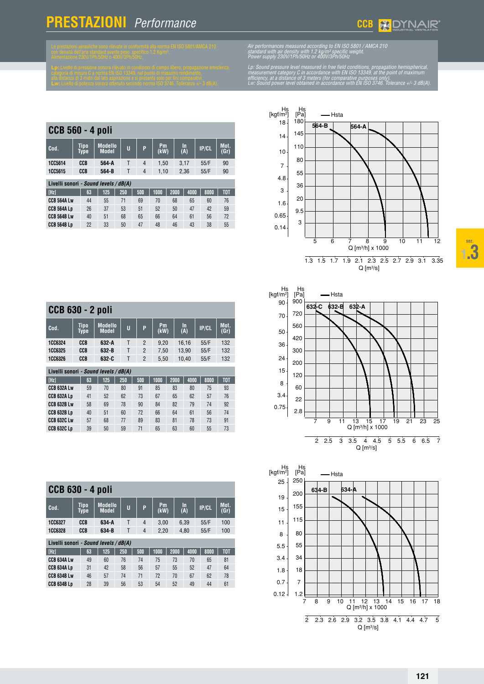



Air performances measured according to EN ISO 5801 / AMCA 210<br>standard with air density with 1.2 kg/m<sup>3</sup> specific weight.<br>Power supply 230V/1Ph/50Hz or 400V/3Ph/50Hz

Lp: Sound pressure level measured in free field conditions, propagation hemispherical<br>measurement category C in accordance with EN ISO 13349, at the point of maximum efficiency, at a distance of 3 meters (for comparative purposes only).<br>Lw: Sound power level obtained in accordance with EN ISO 3746. Tolerance +/- 3 dB(A).

| <b>CCB 560 - 4 poli</b> |                                       |                            |                                |     |  |                |            |  |      |           |      |              |              |
|-------------------------|---------------------------------------|----------------------------|--------------------------------|-----|--|----------------|------------|--|------|-----------|------|--------------|--------------|
| Cod.                    |                                       | <b>Tipo</b><br><b>Type</b> | <b>Modello</b><br><b>Model</b> | Ū   |  | P              | Pm<br>(kW) |  |      | In<br>(A) |      | <b>IP/CL</b> | Mot.<br>(Gr) |
| <b>1CC5614</b>          |                                       | CCB                        | 564-A                          | Τ   |  | $\overline{4}$ | 1.50       |  |      | 3.17      |      | 55/F         | 90           |
| <b>1CC5615</b>          |                                       | CCB                        | 564-B                          | т   |  | $\overline{4}$ | 1.10       |  | 2.36 |           | 55/F |              | 90           |
|                         | Livelli sonori - Sound levels / dB(A) |                            |                                |     |  |                |            |  |      |           |      |              |              |
| [Hz]                    |                                       | 63                         | 125                            | 250 |  | 500            | 1000       |  | 2000 | 4000      |      | 8000         | <b>TOT</b>   |
| <b>CCB 564A Lw</b>      |                                       | 44                         | 55                             | 71  |  | 69             | 70         |  | 68   | 65        |      | 60           | 76           |
| CCB 564A LD             |                                       | 26                         | 37                             | 53  |  | 51             | 52         |  | 50   | 47        |      | 42           | 59           |
| <b>CCB 564B Lw</b>      |                                       | 40                         | 51                             | 68  |  | 65             | 66         |  | 64   | 61        |      | 56           | 72           |
| <b>CCB 564B Lp</b>      |                                       | 22                         | 33                             | 50  |  | 47             | 48         |  | 46   | 43        |      | 38           | 55           |

**Modello Model <sup>U</sup> <sup>P</sup> Pm**

**1CC6324 CCB 632-A** T 2 9,20 16,16 55/F 132 **1CC6325 CCB 632-B** T 2 7,50 13,90 55/F 132 **1CC6326 CCB 632-C** T 2 5,50 10,40 55/F 132

**[Hz] 63 125 250 500 1000 2000 4000 8000 TOT CCB 632A Lw** 59 70 80 91 85 83 80 75 93 **CCB 632A Lp** 41 52 62 73 67 65 62 57 76 **CCB 632B Lw** 58 69 78 90 84 82 79 74 92 **CCB 632B Lp** 40 51 60 72 66 64 61 56 74 **CCB 632C Lw** 57 68 77 89 83 81 78 73 91 **CCB 632C Lp** 39 50 59 71 65 63 60 55 73

**(kW)**

**In**

**(A) IP/CL Mot. (Gr)**

**CCB 630 - 2 poli**

**Livelli sonori** *- Sound levels / dB(A)*

**Cod. Tipo Type**

 $cc$ 

**Cod. Tipo**

Livel



7 9 11 13 15 17 19 21 23 25 Hs [Pa]  $900$ 720 560 420 300 200 120 60 22 2.8 Q [m³/h] x 1000 2 2.5 3 3.5 4 4.5 5 5.5 6 6.5 7  $Q [m^3/s]$ 90 70 50 36 24 15 8 3.4 0.75 Hs Hs<br>[kgf/m<sup>2</sup>] [Pa] — Hsta **632-C 632-B 632-A**

| CCB 630 - 4 poli                             |                            |                                |     |     |                   |      |           |      |              |                  |  |
|----------------------------------------------|----------------------------|--------------------------------|-----|-----|-------------------|------|-----------|------|--------------|------------------|--|
| $Cod$ .                                      | <b>Tipo</b><br><b>Type</b> | <b>Modello</b><br><b>Model</b> | Ū   | P   | <b>Pm</b><br>(kW) |      | In<br>(A) |      | <b>IP/CL</b> | Mot.<br>(Gr)     |  |
| <b>1CC6327</b>                               | CCB                        | 634-A                          | Т   | 4   | 3,00              |      | 6,39      |      | 55/F         | 100              |  |
| <b>1CC6328</b>                               | CCB                        | 634-B                          | Τ   | 4   | 2,20              |      | 4,80      |      | 55/F         | 100              |  |
| Livelli sonori <i>- Sound levels / dB(A)</i> |                            |                                |     |     |                   |      |           |      |              |                  |  |
| [Hz]                                         | 63                         | 125                            | 250 | 500 | 1000              | 2000 |           | 4000 | 8000         | T <sub>0</sub> T |  |
| CCB 634A Lw                                  | 49                         | 60                             | 76  | 74  | 75                | 73   |           | 70   | 65           | 81               |  |
| CCB 634A LD                                  | 31                         | 42                             | 58  | 56  | 57                | 55   |           | 52   | 47           | 64               |  |
| CCB 634B Lw                                  | 46                         | 57                             | 74  | 71  | 72                | 70   |           | 67   | 62           | 78               |  |
| CCB 634B LD                                  | 28                         | 39                             | 56  | 53  | 54                | 52   |           | 49   | 44           | 61               |  |